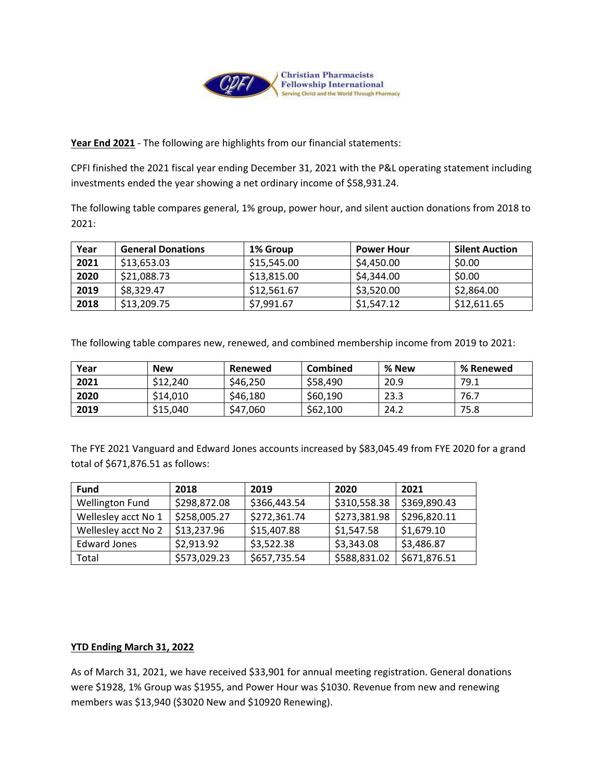

**Year End 2021** - The following are highlights from our financial statements:

CPFI finished the 2021 fiscal year ending December 31, 2021 with the P&L operating statement including investments ended the year showing a net ordinary income of \$58,931.24.

The following table compares general, 1% group, power hour, and silent auction donations from 2018 to 2021:

| Year | <b>General Donations</b> | 1% Group    | <b>Power Hour</b> | <b>Silent Auction</b> |
|------|--------------------------|-------------|-------------------|-----------------------|
| 2021 | \$13,653,03              | \$15,545.00 | \$4,450.00        | \$0.00                |
| 2020 | \$21,088.73              | \$13,815.00 | \$4,344.00        | \$0.00                |
| 2019 | \$8,329.47               | \$12,561.67 | \$3,520.00        | \$2,864.00            |
| 2018 | \$13,209.75              | \$7,991.67  | \$1,547.12        | \$12,611.65           |

The following table compares new, renewed, and combined membership income from 2019 to 2021:

| Year | <b>New</b> | Renewed  | Combined | % New | % Renewed |
|------|------------|----------|----------|-------|-----------|
| 2021 | \$12,240   | \$46,250 | \$58,490 | 20.9  | 79.1      |
| 2020 | \$14,010   | \$46,180 | \$60.190 | 23.3  | 76.7      |
| 2019 | \$15,040   | \$47,060 | \$62,100 | 24.2  | 75.8      |

The FYE 2021 Vanguard and Edward Jones accounts increased by \$83,045.49 from FYE 2020 for a grand total of \$671,876.51 as follows:

| <b>Fund</b>            | 2018         | 2019         | 2020         | 2021         |
|------------------------|--------------|--------------|--------------|--------------|
| <b>Wellington Fund</b> | \$298,872.08 | \$366,443.54 | \$310,558.38 | \$369,890.43 |
| Wellesley acct No 1    | \$258,005.27 | \$272,361.74 | \$273,381.98 | \$296,820.11 |
| Wellesley acct No 2    | \$13,237.96  | \$15,407.88  | \$1,547.58   | \$1,679.10   |
| <b>Edward Jones</b>    | \$2,913.92   | \$3,522.38   | \$3,343.08   | \$3,486.87   |
| Total                  | \$573,029.23 | \$657,735.54 | \$588,831.02 | \$671,876.51 |

## **YTD Ending March 31, 2022**

As of March 31, 2021, we have received \$33,901 for annual meeting registration. General donations were \$1928, 1% Group was \$1955, and Power Hour was \$1030. Revenue from new and renewing members was \$13,940 (\$3020 New and \$10920 Renewing).